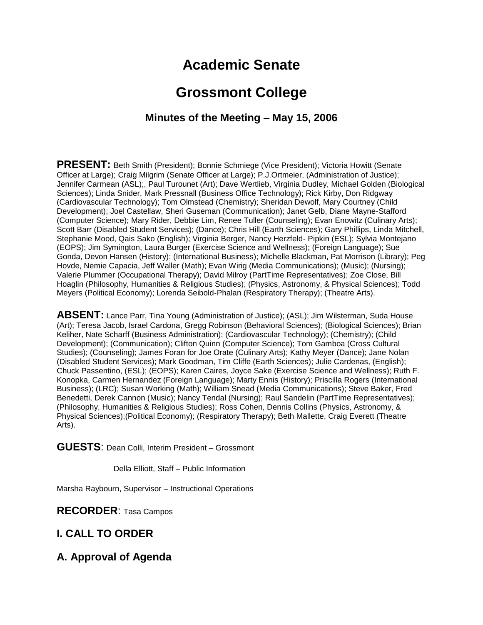# **Academic Senate**

# **Grossmont College**

# **Minutes of the Meeting – May 15, 2006**

**PRESENT:** Beth Smith (President); Bonnie Schmiege (Vice President); Victoria Howitt (Senate Officer at Large); Craig Milgrim (Senate Officer at Large); P.J.Ortmeier, (Administration of Justice); Jennifer Carmean (ASL);, Paul Turounet (Art); Dave Wertlieb, Virginia Dudley, Michael Golden (Biological Sciences); Linda Snider, Mark Pressnall (Business Office Technology); Rick Kirby, Don Ridgway (Cardiovascular Technology); Tom Olmstead (Chemistry); Sheridan Dewolf, Mary Courtney (Child Development); Joel Castellaw, Sheri Guseman (Communication); Janet Gelb, Diane Mayne-Stafford (Computer Science); Mary Rider, Debbie Lim, Renee Tuller (Counseling); Evan Enowitz (Culinary Arts); Scott Barr (Disabled Student Services); (Dance); Chris Hill (Earth Sciences); Gary Phillips, Linda Mitchell, Stephanie Mood, Qais Sako (English); Virginia Berger, Nancy Herzfeld- Pipkin (ESL); Sylvia Montejano (EOPS); Jim Symington, Laura Burger (Exercise Science and Wellness); (Foreign Language); Sue Gonda, Devon Hansen (History); (International Business); Michelle Blackman, Pat Morrison (Library); Peg Hovde, Nemie Capacia, Jeff Waller (Math); Evan Wirig (Media Communications); (Music); (Nursing); Valerie Plummer (Occupational Therapy); David Milroy (PartTime Representatives); Zoe Close, Bill Hoaglin (Philosophy, Humanities & Religious Studies); (Physics, Astronomy, & Physical Sciences); Todd Meyers (Political Economy); Lorenda Seibold-Phalan (Respiratory Therapy); (Theatre Arts).

**ABSENT:** Lance Parr, Tina Young (Administration of Justice); (ASL); Jim Wilsterman, Suda House (Art); Teresa Jacob, Israel Cardona, Gregg Robinson (Behavioral Sciences); (Biological Sciences); Brian Keliher, Nate Scharff (Business Administration); (Cardiovascular Technology); (Chemistry); (Child Development); (Communication); Clifton Quinn (Computer Science); Tom Gamboa (Cross Cultural Studies); (Counseling); James Foran for Joe Orate (Culinary Arts); Kathy Meyer (Dance); Jane Nolan (Disabled Student Services); Mark Goodman, Tim Cliffe (Earth Sciences); Julie Cardenas, (English); Chuck Passentino, (ESL); (EOPS); Karen Caires, Joyce Sake (Exercise Science and Wellness); Ruth F. Konopka, Carmen Hernandez (Foreign Language); Marty Ennis (History); Priscilla Rogers (International Business); (LRC); Susan Working (Math); William Snead (Media Communications); Steve Baker, Fred Benedetti, Derek Cannon (Music); Nancy Tendal (Nursing); Raul Sandelin (PartTime Representatives); (Philosophy, Humanities & Religious Studies); Ross Cohen, Dennis Collins (Physics, Astronomy, & Physical Sciences);(Political Economy); (Respiratory Therapy); Beth Mallette, Craig Everett (Theatre Arts).

**GUESTS**: Dean Colli, Interim President – Grossmont

Della Elliott, Staff – Public Information

Marsha Raybourn, Supervisor – Instructional Operations

**RECORDER**: Tasa Campos

## **I. CALL TO ORDER**

## **A. Approval of Agenda**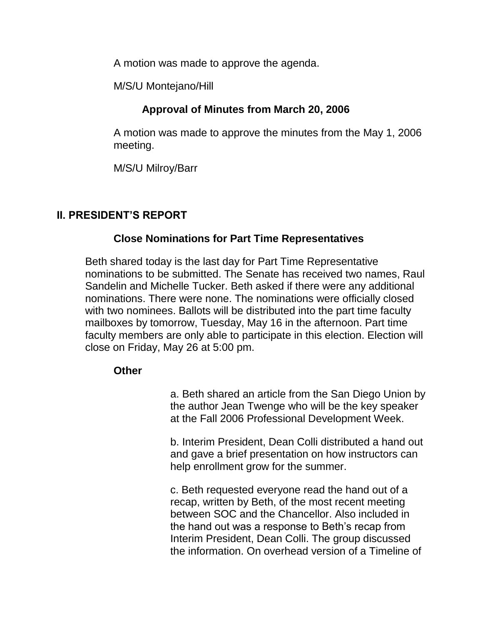A motion was made to approve the agenda.

M/S/U Montejano/Hill

# **Approval of Minutes from March 20, 2006**

A motion was made to approve the minutes from the May 1, 2006 meeting.

M/S/U Milroy/Barr

# **II. PRESIDENT'S REPORT**

## **Close Nominations for Part Time Representatives**

Beth shared today is the last day for Part Time Representative nominations to be submitted. The Senate has received two names, Raul Sandelin and Michelle Tucker. Beth asked if there were any additional nominations. There were none. The nominations were officially closed with two nominees. Ballots will be distributed into the part time faculty mailboxes by tomorrow, Tuesday, May 16 in the afternoon. Part time faculty members are only able to participate in this election. Election will close on Friday, May 26 at 5:00 pm.

## **Other**

a. Beth shared an article from the San Diego Union by the author Jean Twenge who will be the key speaker at the Fall 2006 Professional Development Week.

b. Interim President, Dean Colli distributed a hand out and gave a brief presentation on how instructors can help enrollment grow for the summer.

c. Beth requested everyone read the hand out of a recap, written by Beth, of the most recent meeting between SOC and the Chancellor. Also included in the hand out was a response to Beth's recap from Interim President, Dean Colli. The group discussed the information. On overhead version of a Timeline of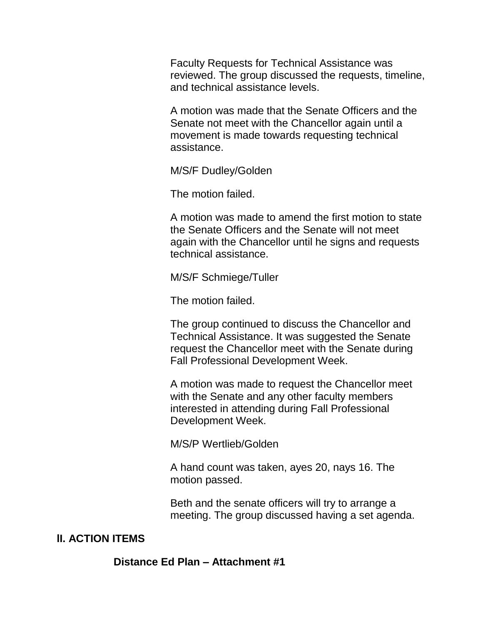Faculty Requests for Technical Assistance was reviewed. The group discussed the requests, timeline, and technical assistance levels.

A motion was made that the Senate Officers and the Senate not meet with the Chancellor again until a movement is made towards requesting technical assistance.

M/S/F Dudley/Golden

The motion failed.

A motion was made to amend the first motion to state the Senate Officers and the Senate will not meet again with the Chancellor until he signs and requests technical assistance.

M/S/F Schmiege/Tuller

The motion failed.

The group continued to discuss the Chancellor and Technical Assistance. It was suggested the Senate request the Chancellor meet with the Senate during Fall Professional Development Week.

A motion was made to request the Chancellor meet with the Senate and any other faculty members interested in attending during Fall Professional Development Week.

M/S/P Wertlieb/Golden

A hand count was taken, ayes 20, nays 16. The motion passed.

Beth and the senate officers will try to arrange a meeting. The group discussed having a set agenda.

#### **lI. ACTION ITEMS**

**Distance Ed Plan – Attachment #1**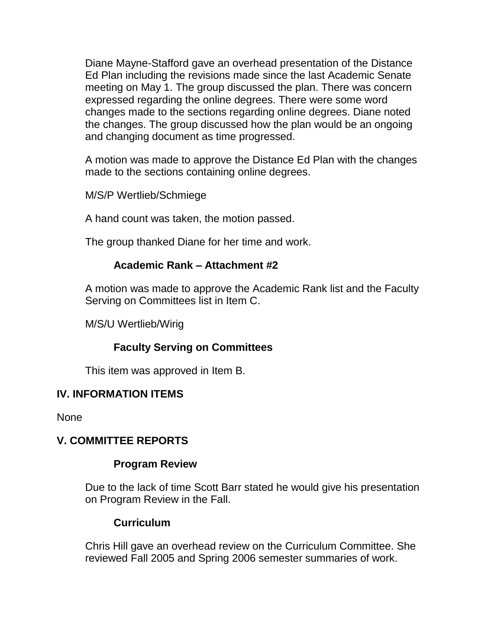Diane Mayne-Stafford gave an overhead presentation of the Distance Ed Plan including the revisions made since the last Academic Senate meeting on May 1. The group discussed the plan. There was concern expressed regarding the online degrees. There were some word changes made to the sections regarding online degrees. Diane noted the changes. The group discussed how the plan would be an ongoing and changing document as time progressed.

A motion was made to approve the Distance Ed Plan with the changes made to the sections containing online degrees.

M/S/P Wertlieb/Schmiege

A hand count was taken, the motion passed.

The group thanked Diane for her time and work.

## **Academic Rank – Attachment #2**

A motion was made to approve the Academic Rank list and the Faculty Serving on Committees list in Item C.

M/S/U Wertlieb/Wirig

# **Faculty Serving on Committees**

This item was approved in Item B.

## **IV. INFORMATION ITEMS**

None

## **V. COMMITTEE REPORTS**

#### **Program Review**

Due to the lack of time Scott Barr stated he would give his presentation on Program Review in the Fall.

#### **Curriculum**

Chris Hill gave an overhead review on the Curriculum Committee. She reviewed Fall 2005 and Spring 2006 semester summaries of work.